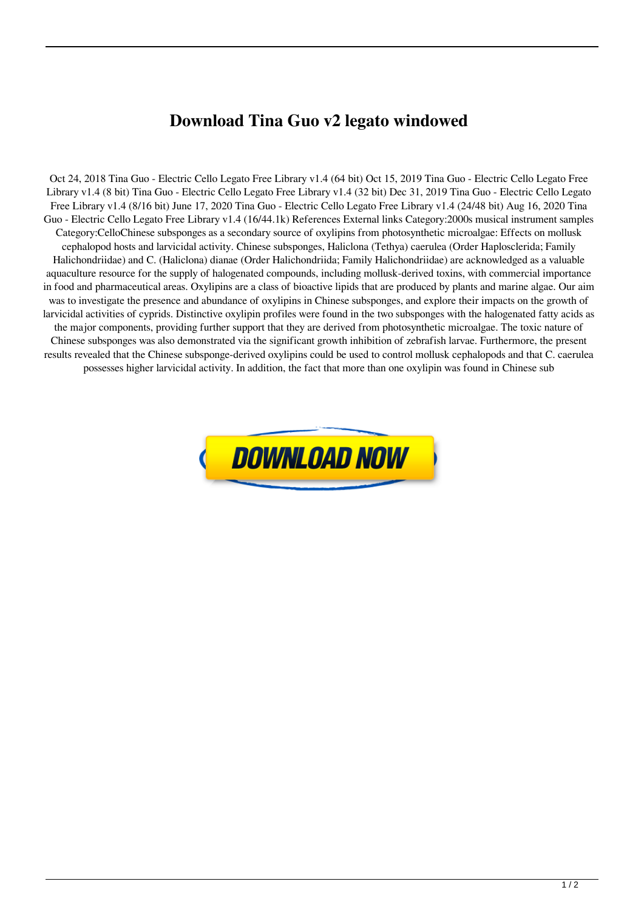## **Download Tina Guo v2 legato windowed**

Oct 24, 2018 Tina Guo - Electric Cello Legato Free Library v1.4 (64 bit) Oct 15, 2019 Tina Guo - Electric Cello Legato Free Library v1.4 (8 bit) Tina Guo - Electric Cello Legato Free Library v1.4 (32 bit) Dec 31, 2019 Tina Guo - Electric Cello Legato Free Library v1.4 (8/16 bit) June 17, 2020 Tina Guo - Electric Cello Legato Free Library v1.4 (24/48 bit) Aug 16, 2020 Tina Guo - Electric Cello Legato Free Library v1.4 (16/44.1k) References External links Category:2000s musical instrument samples Category:CelloChinese subsponges as a secondary source of oxylipins from photosynthetic microalgae: Effects on mollusk cephalopod hosts and larvicidal activity. Chinese subsponges, Haliclona (Tethya) caerulea (Order Haplosclerida; Family Halichondriidae) and C. (Haliclona) dianae (Order Halichondriida; Family Halichondriidae) are acknowledged as a valuable aquaculture resource for the supply of halogenated compounds, including mollusk-derived toxins, with commercial importance in food and pharmaceutical areas. Oxylipins are a class of bioactive lipids that are produced by plants and marine algae. Our aim was to investigate the presence and abundance of oxylipins in Chinese subsponges, and explore their impacts on the growth of larvicidal activities of cyprids. Distinctive oxylipin profiles were found in the two subsponges with the halogenated fatty acids as the major components, providing further support that they are derived from photosynthetic microalgae. The toxic nature of Chinese subsponges was also demonstrated via the significant growth inhibition of zebrafish larvae. Furthermore, the present results revealed that the Chinese subsponge-derived oxylipins could be used to control mollusk cephalopods and that C. caerulea possesses higher larvicidal activity. In addition, the fact that more than one oxylipin was found in Chinese sub